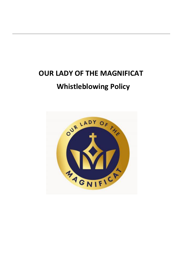# **OUR LADY OF THE MAGNIFICAT Whistleblowing Policy**

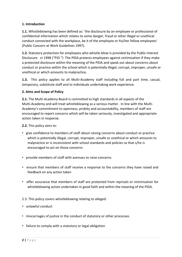### **1. Introduction**

**1.1.** Whistleblowing has been defined as: 'the disclosure by an employee or professional of confidential information which relates to some danger, fraud or other illegal or unethical conduct connected with the workplace, be it of the employee or his/her fellow employees' (Public Concern at Work Guidelines 1997).

**1.2.** Statutory protection for employees who whistle-blow is provided by the Public Interest Disclosure ct 1998 ("PID") The PIDA protects employees against victimisation if they make a protected disclosure within the meaning of the PIDA and speak out about concerns about conduct or practice within the school which is potentially illegal, corrupt, improper, unsafe or unethical or which amounts to malpractice.

**1.3.** This policy applies to all Multi-Academy staff including full and part time, casual, temporary, substitute staff and to individuals undertaking work experience.

#### **2. Aims and Scope of Policy**

**2.1.** The Multi-Academy Board is committed to high standards in all aspects of the Multi-Academy and will treat whistleblowing as a serious matter. In line with the Multi-Academy's commitment to openness, probity and accountability, members of staff are encouraged to report concerns which will be taken seriously, investigated and appropriate action taken in response.

**2.2.** This policy aims to:

- give confidence to members of staff about raising concerns about conduct or practice which is potentially illegal, corrupt, improper, unsafe or unethical or which amounts to malpractice or is inconsistent with school standards and policies so that s/he is encouraged to act on those concerns
- provide members of staff with avenues to raise concerns
- ensure that members of staff receive a response to the concerns they have raised and feedback on any action taken
- offer assurance that members of staff are protected from reprisals or victimisation for whistleblowing action undertaken in good faith and within the meaning of the PIDA.
- 2.3. This policy covers whistleblowing relating to alleged:
- unlawful conduct
- miscarriages of justice in the conduct of statutory or other processes
- failure to comply with a statutory or legal obligation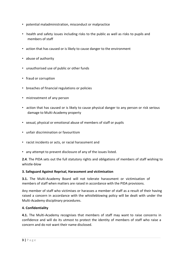- potential maladministration, misconduct or malpractice
- health and safety issues including risks to the public as well as risks to pupils and members of staff
- action that has caused or is likely to cause danger to the environment
- abuse of authority
- unauthorised use of public or other funds
- fraud or corruption
- breaches of financial regulations or policies
- mistreatment of any person
- action that has caused or is likely to cause physical danger to any person or risk serious damage to Multi-Academy property
- sexual, physical or emotional abuse of members of staff or pupils
- unfair discrimination or favouritism
- racist incidents or acts, or racial harassment and
- any attempt to prevent disclosure of any of the issues listed.

**2.4**. The PIDA sets out the full statutory rights and obligations of members of staff wishing to whistle-blow

#### **3. Safeguard Against Reprisal, Harassment and victimisation**

**3.1.** The Multi-Academy Board will not tolerate harassment or victimisation of members of staff when matters are raised in accordance with the PIDA provisions.

Any member of staff who victimises or harasses a member of staff as a result of their having raised a concern in accordance with the whistleblowing policy will be dealt with under the Multi-Academy disciplinary procedures.

#### **4. Confidentiality**

**4.1.** The Multi-Academy recognises that members of staff may want to raise concerns in confidence and will do its utmost to protect the identity of members of staff who raise a concern and do not want their name disclosed.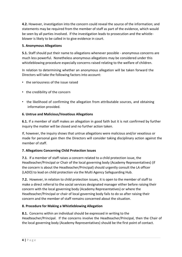**4.2.** However, investigation into the concern could reveal the source of the information; and statements may be required from the member of staff as part of the evidence, which would be seen by all parties involved. If the investigation leads to prosecution and the whistleblower is likely to be called in to give evidence in court.

## **5. Anonymous Allegations**

**5.1.** Staff should put their name to allegations whenever possible - anonymous concerns are much less powerful. Nonetheless anonymous allegations may be considered under this whistleblowing procedure especially concerns raised relating to the welfare of children.

In relation to determining whether an anonymous allegation will be taken forward the Directors will take the following factors into account:

- the seriousness of the issue raised
- the credibility of the concern
- the likelihood of confirming the allegation from attributable sources, and obtaining information provided.

## **6. Untrue and Malicious/Vexatious Allegations**

**6.1.** If a member of staff makes an allegation in good faith but it is not confirmed by further inquiry the matter will be closed and no further action taken.

If, however, the inquiry shows that untrue allegations were malicious and/or vexatious or made for personal gain then the Directors will consider taking disciplinary action against the member of staff.

# **7. Allegations Concerning Child Protection Issues**

**7.1**. If a member of staff raises a concern related to a child protection issue, the Headteacher/Principal or Chair of the local governing body (Academy Representatives) (if the concern is about the Headteacher/Principal) should urgently consult the LA officer (LADO) to lead on child protection via the Multi Agency Safeguarding Hub.

**7.2.** However, in relation to child protection issues, it is open to the member of staff to make a direct referral to the social services designated manager either before raising their concern with the local governing body (Academy Representatives) or where the Headteacher/Principal or chair of local governing body fails to do so after raising their concern and the member of staff remains concerned about the situation.

# **8. Procedure for Making a Whistleblowing Allegation**

**8.1.** Concerns within an individual should be expressed in writing to the Headteacher/Principal. If the concerns involve the Headteacher/Principal, then the Chair of the local governing body (Academy Representatives) should be the first point of contact.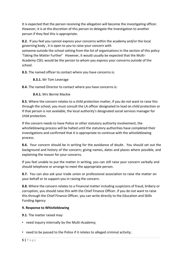It is expected that the person receiving the allegation will become the investigating officer. However, it is at the discretion of this person to delegate the investigation to another person if they feel this is appropriate.

**8.2.** If you feel you cannot express your concerns within the academy and/or the local governing body , it is open to you to raise your concern with someone outside the school setting from the list of organisations in the section of this policy 'Taking the Matter Further'͘ However, it would usually be expected that the Multi-Academy CSEL would be the person to whom you express your concerns outside of the school.

**8.3.** The named officer to contact where you have concerns is:

## **8.3.1.** Mr Tom Leverage

**8.4.** The named Director to contact where you have concerns is:

**8.4.1.** Mrs Bernie Mackie

**8.5.** Where the concern relates to a child protection matter, if you do not want to raise this through the school, you must consult the LA officer designated to lead on child protection or if that person is not available, the local authority's designated social services manager for child protection.

If the concern needs to have Police or other statutory authority involvement, the whistleblowing process will be halted until the statutory authorities have completed their investigations and confirmed that it is appropriate to continue with the whistleblowing process.

**8.6.** Your concern should be in writing for the avoidance of doubt. You should set out the background and history of the concern; giving names, dates and places where possible, and explaining the reason for your concerns.

If you feel unable to put the matter in writing, you can still raise your concern verbally and should telephone or arrange to meet the appropriate person.

**8.7.** You can also ask your trade union or professional association to raise the matter on your behalf or to support you in raising the concern.

**8.8.** Where the concern relates to a Financial matter including suspicions of fraud, bribery or corruption, you should raise this with the Chief Finance Officer. If you do not want to raise this through the Chief Finance Officer, you can write directly to the Education and Skills Funding Agency

## **9. Response to Whistleblowing**

**9.1.** The matter raised may:

• need inquiry internally by the Multi-Academy;

• need to be passed to the Police if it relates to alleged criminal activity;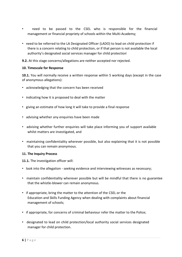- need to be passed to the CSEL who is responsible for the financial management or financial propriety of schools within the Multi-Academy;
- need to be referred to the LA Designated Officer (LADO) to lead on child protection if there is a concern relating to child protection, or if that person is not available the local authority's designated social services manager for child protection
- **9.2.** At this stage concerns/allegations are neither accepted nor rejected.

### **10. Timescale for Response**

**10.1.** You will normally receive a written response within 5 working days (except in the case of anonymous allegations):

- acknowledging that the concern has been received
- indicating how it is proposed to deal with the matter
- giving an estimate of how long it will take to provide a final response
- advising whether any enquiries have been made
- advising whether further enquiries will take place informing you of support available whilst matters are investigated, and
- maintaining confidentiality wherever possible, but also explaining that it is not possible that you can remain anonymous.

#### **11. The Inquiry Process**

**11.1.** The investigation officer will:

- look into the allegation seeking evidence and interviewing witnesses as necessary;
- maintain confidentiality wherever possible but will be mindful that there is no guarantee that the whistle-blower can remain anonymous.
- if appropriate, bring the matter to the attention of the CSEL or the Education and Skills Funding Agency when dealing with complaints about financial management of schools;
- if appropriate, for concerns of criminal behaviour refer the matter to the Police;
- designated to lead on child protection/local authority social services designated manager for child protection.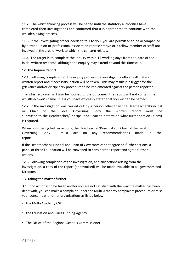**11.2.** The whistleblowing process will be halted until the statutory authorities have completed their investigations and confirmed that it is appropriate to continue with the whistleblowing process.

**11.3.** If the investigating officer needs to talk to you, you are permitted to be accompanied by a trade union or professional association representative or a fellow member of staff not involved in the area of work to which the concern relates.

**11.4.** The target is to complete the inquiry within 15 working days from the date of the initial written response, although the enquiry may extend beyond this timescale.

## **12. The Inquiry Report**

**12.1.** Following completion of the inquiry process the investigating officer will make a written report and if necessary, action will be taken. This may result in a trigger for the grievance and/or disciplinary procedure to be implemented against the person reported.

The whistle-blower will also be notified of the outcome. The report will not contain the whistle-blower's name unless you have expressly stated that you wish to be named

**12.2.** if the investigation was carried out by a person other than the Headteacher/Principal or Chair of the Local Governing Body the written report must be submitted to the Headteacher/Principal and Chair to determine what further action (if any) is required.

When considering further actions, the Headteacher/Principal and Chair of the Local Governing Body must act on any recommendations made in the report.

If the Headteacher/Principal and Chair of Governors cannot agree on further actions, a panel of three Foundation will be convened to consider the report and agree further actions.

**12.3.** Following completion of the investigation, and any actions arising from the investigation, a copy of the report (anonymised) will be made available to all governors and Directors.

#### **13. Taking the matter further**

**3.1.** If no action is to be taken and/or you are not satisfied with the way the matter has been dealt with, you can make a complaint under the Multi-Academy complaints procedure or raise your concerns with other organisations as listed below:

- the Multi-Academy CSEL
- the Education and Skills Funding Agency
- The Office of the Regional Schools Commissioner